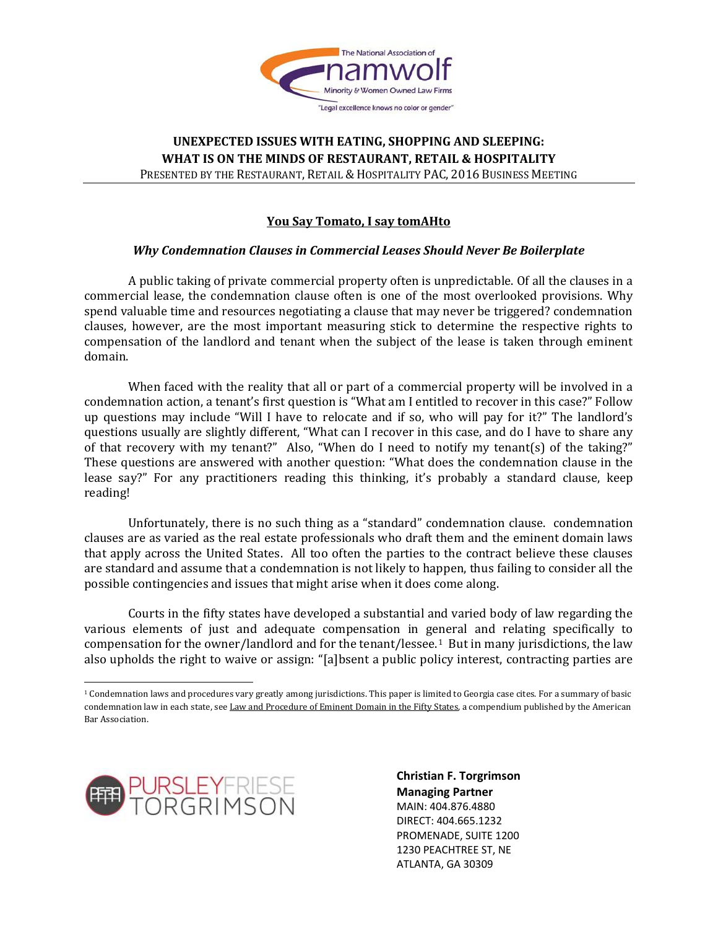

# **You Say Tomato, I say tomAHto**

#### *Why Condemnation Clauses in Commercial Leases Should Never Be Boilerplate*

A public taking of private commercial property often is unpredictable. Of all the clauses in a commercial lease, the condemnation clause often is one of the most overlooked provisions. Why spend valuable time and resources negotiating a clause that may never be triggered? condemnation clauses, however, are the most important measuring stick to determine the respective rights to compensation of the landlord and tenant when the subject of the lease is taken through eminent domain.

When faced with the reality that all or part of a commercial property will be involved in a condemnation action, a tenant's first question is "What am I entitled to recover in this case?" Follow up questions may include "Will I have to relocate and if so, who will pay for it?" The landlord's questions usually are slightly different, "What can I recover in this case, and do I have to share any of that recovery with my tenant?" Also, "When do I need to notify my tenant(s) of the taking?" These questions are answered with another question: "What does the condemnation clause in the lease say?" For any practitioners reading this thinking, it's probably a standard clause, keep reading!

Unfortunately, there is no such thing as a "standard" condemnation clause. condemnation clauses are as varied as the real estate professionals who draft them and the eminent domain laws that apply across the United States. All too often the parties to the contract believe these clauses are standard and assume that a condemnation is not likely to happen, thus failing to consider all the possible contingencies and issues that might arise when it does come along.

Courts in the fifty states have developed a substantial and varied body of law regarding the various elements of just and adequate compensation in general and relating specifically to compensation for the owner/landlord and for the tenant/lessee.<sup>1</sup> But in many jurisdictions, the law also upholds the right to waive or assign: "[a]bsent a public policy interest, contracting parties are

<span id="page-0-0"></span>l <sup>1</sup> Condemnation laws and procedures vary greatly among jurisdictions. This paper is limited to Georgia case cites. For a summary of basic condemnation law in each state, see Law and Procedure of Eminent Domain in the Fifty States, a compendium published by the American Bar Association.

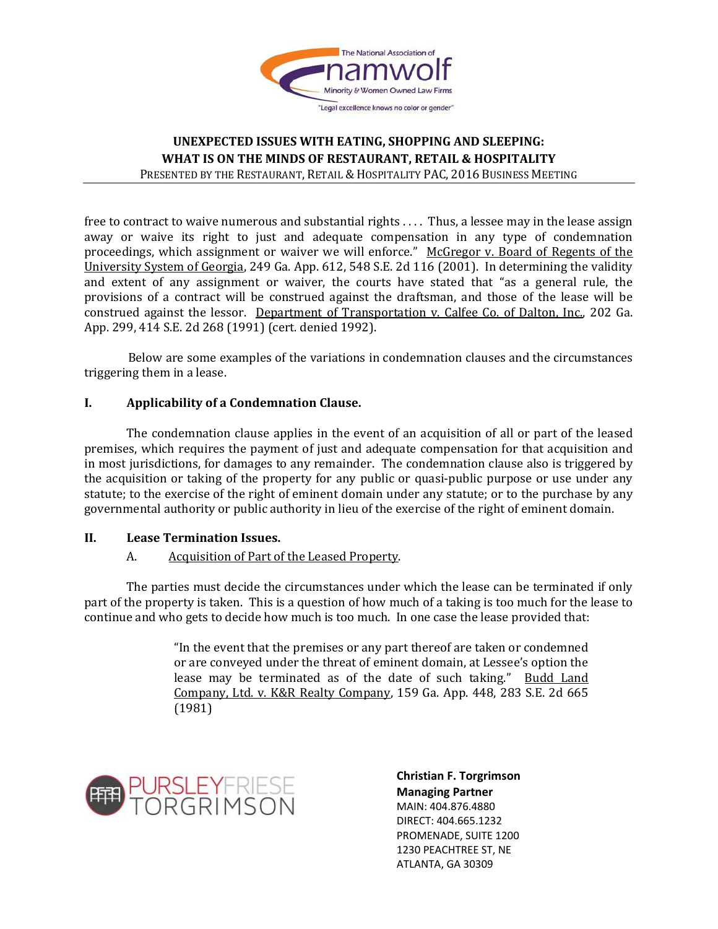

free to contract to waive numerous and substantial rights . . . . Thus, a lessee may in the lease assign away or waive its right to just and adequate compensation in any type of condemnation proceedings, which assignment or waiver we will enforce." McGregor v. Board of Regents of the University System of Georgia, 249 Ga. App. 612, 548 S.E. 2d 116 (2001). In determining the validity and extent of any assignment or waiver, the courts have stated that "as a general rule, the provisions of a contract will be construed against the draftsman, and those of the lease will be construed against the lessor. Department of Transportation v. Calfee Co. of Dalton, Inc., 202 Ga. App. 299, 414 S.E. 2d 268 (1991) (cert. denied 1992).

Below are some examples of the variations in condemnation clauses and the circumstances triggering them in a lease.

# **I. Applicability of a Condemnation Clause.**

The condemnation clause applies in the event of an acquisition of all or part of the leased premises, which requires the payment of just and adequate compensation for that acquisition and in most jurisdictions, for damages to any remainder. The condemnation clause also is triggered by the acquisition or taking of the property for any public or quasi-public purpose or use under any statute; to the exercise of the right of eminent domain under any statute; or to the purchase by any governmental authority or public authority in lieu of the exercise of the right of eminent domain.

# **II. Lease Termination Issues.**

# A. Acquisition of Part of the Leased Property.

The parties must decide the circumstances under which the lease can be terminated if only part of the property is taken. This is a question of how much of a taking is too much for the lease to continue and who gets to decide how much is too much. In one case the lease provided that:

> "In the event that the premises or any part thereof are taken or condemned or are conveyed under the threat of eminent domain, at Lessee's option the lease may be terminated as of the date of such taking." Budd Land Company, Ltd. v. K&R Realty Company, 159 Ga. App. 448, 283 S.E. 2d 665 (1981)

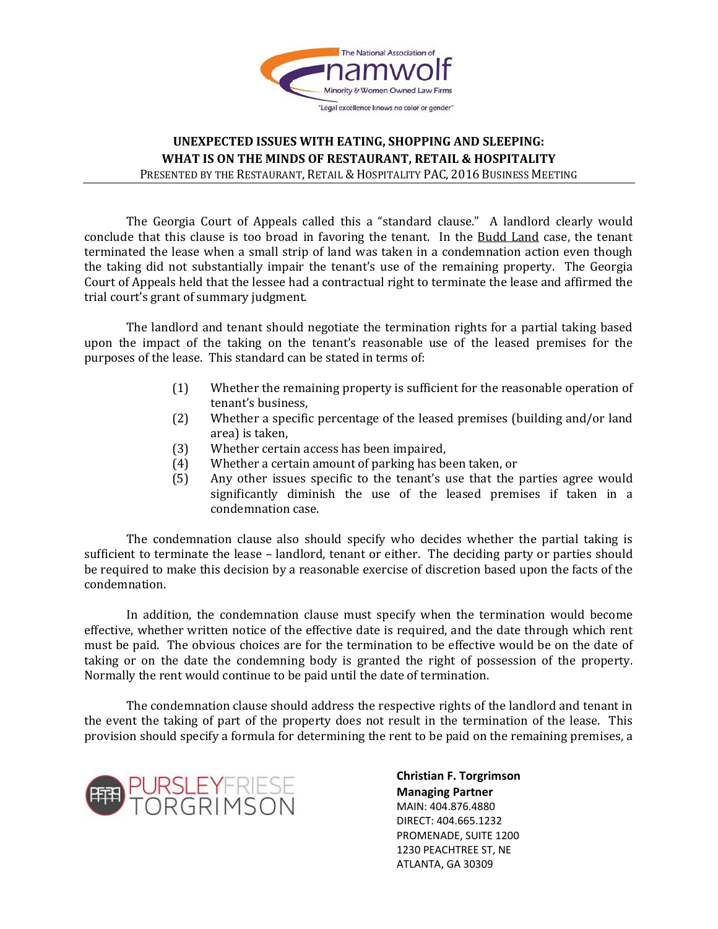

The Georgia Court of Appeals called this a "standard clause." A landlord clearly would conclude that this clause is too broad in favoring the tenant. In the Budd Land case, the tenant terminated the lease when a small strip of land was taken in a condemnation action even though the taking did not substantially impair the tenant's use of the remaining property. The Georgia Court of Appeals held that the lessee had a contractual right to terminate the lease and affirmed the trial court's grant of summary judgment.

The landlord and tenant should negotiate the termination rights for a partial taking based upon the impact of the taking on the tenant's reasonable use of the leased premises for the purposes of the lease. This standard can be stated in terms of:

- (1) Whether the remaining property is sufficient for the reasonable operation of tenant's business,
- (2) Whether a specific percentage of the leased premises (building and/or land area) is taken,
- (3) Whether certain access has been impaired,<br>(4) Whether a certain amount of parking has be
- (4) Whether a certain amount of parking has been taken, or (5) Any other issues specific to the tenant's use that the
- Any other issues specific to the tenant's use that the parties agree would significantly diminish the use of the leased premises if taken in a condemnation case.

The condemnation clause also should specify who decides whether the partial taking is sufficient to terminate the lease – landlord, tenant or either. The deciding party or parties should be required to make this decision by a reasonable exercise of discretion based upon the facts of the condemnation.

In addition, the condemnation clause must specify when the termination would become effective, whether written notice of the effective date is required, and the date through which rent must be paid. The obvious choices are for the termination to be effective would be on the date of taking or on the date the condemning body is granted the right of possession of the property. Normally the rent would continue to be paid until the date of termination.

The condemnation clause should address the respective rights of the landlord and tenant in the event the taking of part of the property does not result in the termination of the lease. This provision should specify a formula for determining the rent to be paid on the remaining premises, a

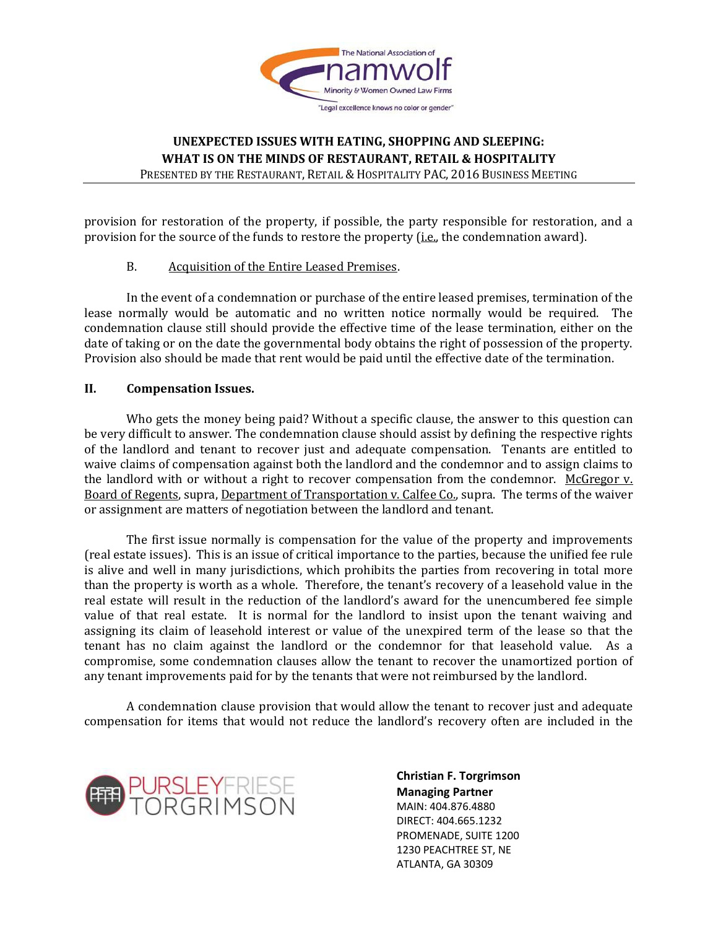

provision for restoration of the property, if possible, the party responsible for restoration, and a provision for the source of the funds to restore the property (*i.e.*, the condemnation award).

#### B. Acquisition of the Entire Leased Premises.

In the event of a condemnation or purchase of the entire leased premises, termination of the lease normally would be automatic and no written notice normally would be required. The condemnation clause still should provide the effective time of the lease termination, either on the date of taking or on the date the governmental body obtains the right of possession of the property. Provision also should be made that rent would be paid until the effective date of the termination.

#### **II. Compensation Issues.**

Who gets the money being paid? Without a specific clause, the answer to this question can be very difficult to answer. The condemnation clause should assist by defining the respective rights of the landlord and tenant to recover just and adequate compensation. Tenants are entitled to waive claims of compensation against both the landlord and the condemnor and to assign claims to the landlord with or without a right to recover compensation from the condemnor. McGregor  $v<sub>i</sub>$ Board of Regents, supra, Department of Transportation v. Calfee Co., supra. The terms of the waiver or assignment are matters of negotiation between the landlord and tenant.

The first issue normally is compensation for the value of the property and improvements (real estate issues). This is an issue of critical importance to the parties, because the unified fee rule is alive and well in many jurisdictions, which prohibits the parties from recovering in total more than the property is worth as a whole. Therefore, the tenant's recovery of a leasehold value in the real estate will result in the reduction of the landlord's award for the unencumbered fee simple value of that real estate. It is normal for the landlord to insist upon the tenant waiving and assigning its claim of leasehold interest or value of the unexpired term of the lease so that the tenant has no claim against the landlord or the condemnor for that leasehold value. As a compromise, some condemnation clauses allow the tenant to recover the unamortized portion of any tenant improvements paid for by the tenants that were not reimbursed by the landlord.

A condemnation clause provision that would allow the tenant to recover just and adequate compensation for items that would not reduce the landlord's recovery often are included in the

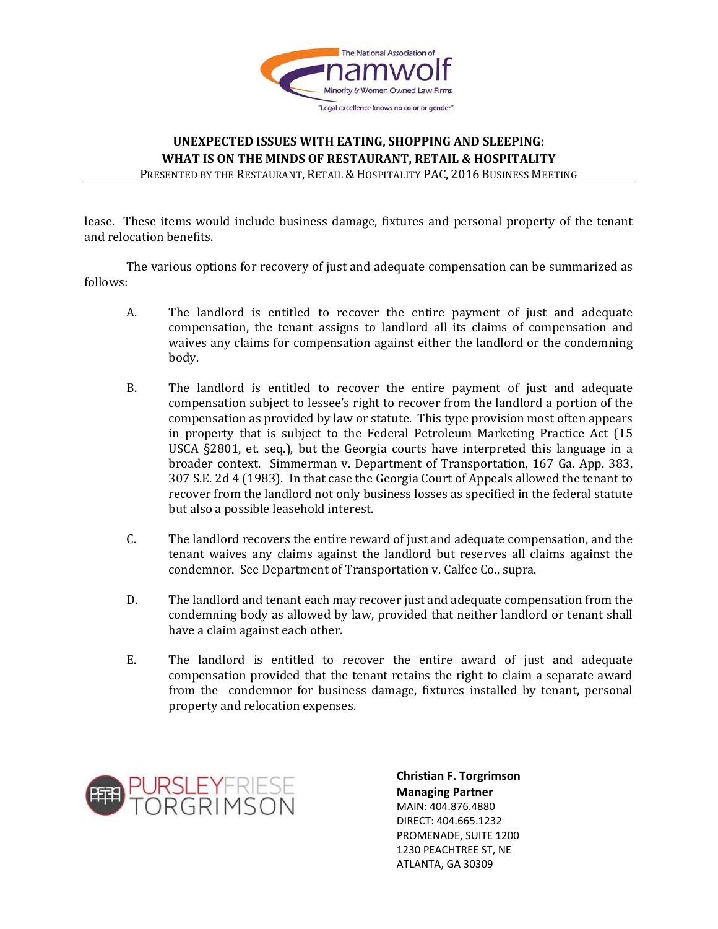

lease. These items would include business damage, fixtures and personal property of the tenant and relocation benefits.

The various options for recovery of just and adequate compensation can be summarized as follows:

- A. The landlord is entitled to recover the entire payment of just and adequate compensation, the tenant assigns to landlord all its claims of compensation and waives any claims for compensation against either the landlord or the condemning body.
- B. The landlord is entitled to recover the entire payment of just and adequate compensation subject to lessee's right to recover from the landlord a portion of the compensation as provided by law or statute. This type provision most often appears in property that is subject to the Federal Petroleum Marketing Practice Act (15 USCA §2801, et. seq.), but the Georgia courts have interpreted this language in a broader context. Simmerman v. Department of Transportation, 167 Ga. App. 383, 307 S.E. 2d 4 (1983). In that case the Georgia Court of Appeals allowed the tenant to recover from the landlord not only business losses as specified in the federal statute but also a possible leasehold interest.
- C. The landlord recovers the entire reward of just and adequate compensation, and the tenant waives any claims against the landlord but reserves all claims against the condemnor. See Department of Transportation v. Calfee Co., supra.
- D. The landlord and tenant each may recover just and adequate compensation from the condemning body as allowed by law, provided that neither landlord or tenant shall have a claim against each other.
- E. The landlord is entitled to recover the entire award of just and adequate compensation provided that the tenant retains the right to claim a separate award from the condemnor for business damage, fixtures installed by tenant, personal property and relocation expenses.

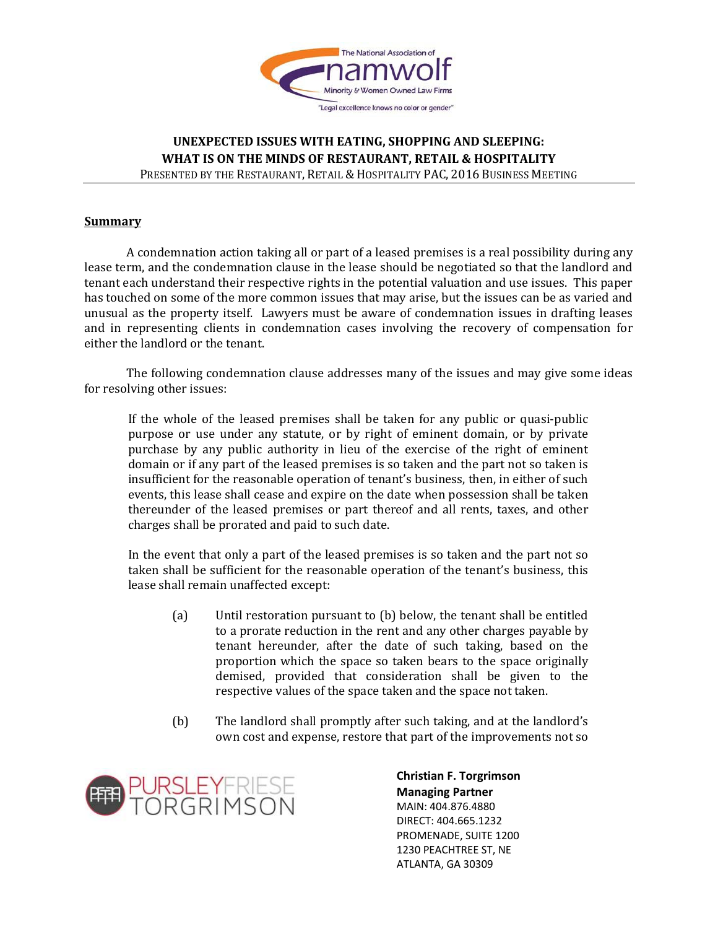

# **UNEXPECTED ISSUES WITH EATING, SHOPPING AND SLEEPING: WHAT IS ON THE MINDS OF RESTAURANT, RETAIL & HOSPITALITY**

PRESENTED BY THE RESTAURANT, RETAIL & HOSPITALITY PAC, 2016 BUSINESS MEETING

#### **Summary**

A condemnation action taking all or part of a leased premises is a real possibility during any lease term, and the condemnation clause in the lease should be negotiated so that the landlord and tenant each understand their respective rights in the potential valuation and use issues. This paper has touched on some of the more common issues that may arise, but the issues can be as varied and unusual as the property itself. Lawyers must be aware of condemnation issues in drafting leases and in representing clients in condemnation cases involving the recovery of compensation for either the landlord or the tenant.

The following condemnation clause addresses many of the issues and may give some ideas for resolving other issues:

If the whole of the leased premises shall be taken for any public or quasi-public purpose or use under any statute, or by right of eminent domain, or by private purchase by any public authority in lieu of the exercise of the right of eminent domain or if any part of the leased premises is so taken and the part not so taken is insufficient for the reasonable operation of tenant's business, then, in either of such events, this lease shall cease and expire on the date when possession shall be taken thereunder of the leased premises or part thereof and all rents, taxes, and other charges shall be prorated and paid to such date.

In the event that only a part of the leased premises is so taken and the part not so taken shall be sufficient for the reasonable operation of the tenant's business, this lease shall remain unaffected except:

- (a) Until restoration pursuant to (b) below, the tenant shall be entitled to a prorate reduction in the rent and any other charges payable by tenant hereunder, after the date of such taking, based on the proportion which the space so taken bears to the space originally demised, provided that consideration shall be given to the respective values of the space taken and the space not taken.
- (b) The landlord shall promptly after such taking, and at the landlord's own cost and expense, restore that part of the improvements not so